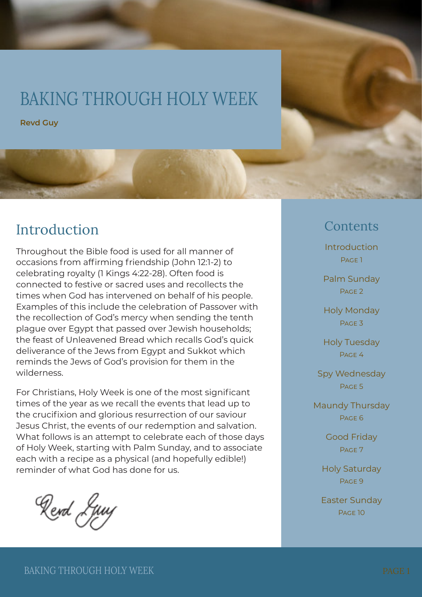# BAKING THROUGH HOLY WEEK

**Revd Guy**

## Introduction

Throughout the Bible food is used for all manner of occasions from affirming friendship (John 12:1-2) to celebrating royalty (1 Kings 4:22-28). Often food is connected to festive or sacred uses and recollects the times when God has intervened on behalf of his people. Examples of this include the celebration of Passover with the recollection of God's mercy when sending the tenth plague over Egypt that passed over Jewish households; the feast of Unleavened Bread which recalls God's quick deliverance of the Jews from Egypt and Sukkot which reminds the Jews of God's provision for them in the wilderness.

For Christians, Holy Week is one of the most significant times of the year as we recall the events that lead up to the crucifixion and glorious resurrection of our saviour Jesus Christ, the events of our redemption and salvation. What follows is an attempt to celebrate each of those days of Holy Week, starting with Palm Sunday, and to associate each with a recipe as a physical (and hopefully edible!) reminder of what God has done for us.

Rend Ljuy

### Contents

Introduction PAGE<sub>1</sub>

Palm Sunday PAGE<sub>2</sub>

Holy Monday Page 3

Holy Tuesday Page 4

Spy Wednesday Page 5

Maundy Thursday Page 6

> Good Friday Page 7

Holy Saturday PAGE<sub>9</sub>

Easter Sunday Page 10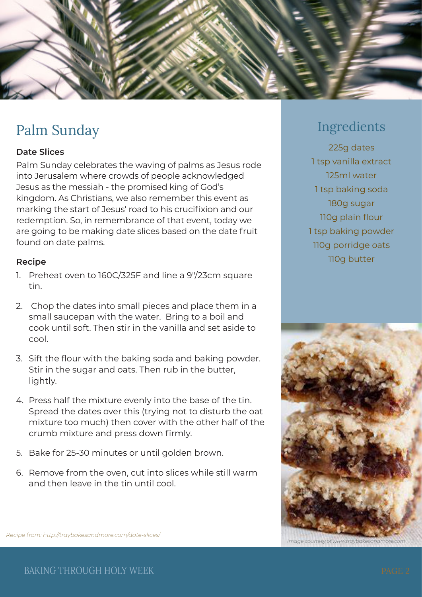

# Palm Sunday

### **Date Slices**

Palm Sunday celebrates the waving of palms as Jesus rode into Jerusalem where crowds of people acknowledged Jesus as the messiah - the promised king of God's kingdom. As Christians, we also remember this event as marking the start of Jesus' road to his crucifixion and our redemption. So, in remembrance of that event, today we are going to be making date slices based on the date fruit found on date palms.

#### **Recipe**

- 1. Preheat oven to 160C/325F and line a 9″/23cm square tin.
- 2. Chop the dates into small pieces and place them in a small saucepan with the water. Bring to a boil and cook until soft. Then stir in the vanilla and set aside to cool.
- 3. Sift the flour with the baking soda and baking powder. Stir in the sugar and oats. Then rub in the butter, lightly.
- 4. Press half the mixture evenly into the base of the tin. Spread the dates over this (trying not to disturb the oat mixture too much) then cover with the other half of the crumb mixture and press down firmly.
- 5. Bake for 25-30 minutes or until golden brown.
- 6. Remove from the oven, cut into slices while still warm and then leave in the tin until cool.

### Ingredients

225g dates 1 tsp vanilla extract 125ml water 1 tsp baking soda 180g sugar 110g plain flour 1 tsp baking powder 110g porridge oats 110g butter



*Image courtesy of www.traybakesand* 

*Recipe from: http://traybakesandmore.com/date-slices/*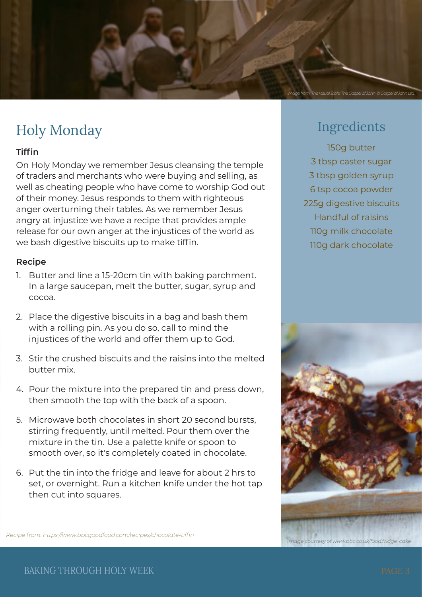

# Holy Monday

### **Tiffin**

On Holy Monday we remember Jesus cleansing the temple of traders and merchants who were buying and selling, as well as cheating people who have come to worship God out of their money. Jesus responds to them with righteous anger overturning their tables. As we remember Jesus angry at injustice we have a recipe that provides ample release for our own anger at the injustices of the world as we bash digestive biscuits up to make tiffin.

#### **Recipe**

- 1. Butter and line a 15-20cm tin with baking parchment. In a large saucepan, melt the butter, sugar, syrup and cocoa.
- 2. Place the digestive biscuits in a bag and bash them with a rolling pin. As you do so, call to mind the injustices of the world and offer them up to God.
- 3. Stir the crushed biscuits and the raisins into the melted butter mix.
- 4. Pour the mixture into the prepared tin and press down, then smooth the top with the back of a spoon.
- 5. Microwave both chocolates in short 20 second bursts, stirring frequently, until melted. Pour them over the mixture in the tin. Use a palette knife or spoon to smooth over, so it's completely coated in chocolate.
- 6. Put the tin into the fridge and leave for about 2 hrs to set, or overnight. Run a kitchen knife under the hot tap then cut into squares.

### Ingredients

150g butter 3 tbsp caster sugar 3 tbsp golden syrup 6 tsp cocoa powder 225g digestive biscuits Handful of raisins 110g milk chocolate 110g dark chocolate



*Recipe from: https://www.bbcgoodfood.com/recipes/chocolate-tiffin*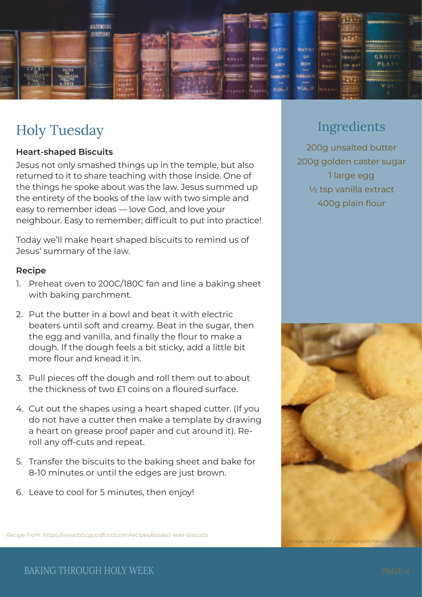

# Holy Tuesday

#### **Heart-shaped Biscuits**

Jesus not only smashed things up in the temple, but also returned to it to share teaching with those inside. One of the things he spoke about was the law. Jesus summed up the entirety of the books of the law with two simple and easy to remember ideas — love God, and love your neighbour. Easy to remember; difficult to put into practice!

Today we'll make heart shaped biscuits to remind us of Jesus' summary of the law.

#### **Recipe**

- 1. Preheat oven to 200C/180C fan and line a baking sheet with baking parchment.
- 2. Put the butter in a bowl and beat it with electric beaters until soft and creamy. Beat in the sugar, then the egg and vanilla, and finally the flour to make a dough. If the dough feels a bit sticky, add a little bit more flour and knead it in.
- 3. Pull pieces off the dough and roll them out to about the thickness of two £1 coins on a floured surface.
- 4. Cut out the shapes using a heart shaped cutter. (If you do not have a cutter then make a template by drawing a heart on grease proof paper and cut around it). Reroll any off-cuts and repeat.
- 5. Transfer the biscuits to the baking sheet and bake for 8-10 minutes or until the edges are just brown.
- 6. Leave to cool for 5 minutes, then enjoy!

### Ingredients

200g unsalted butter 200g golden caster sugar 1 large egg ½ tsp vanilla extract 400g plain flour



*Recipe from: https://www.bbcgoodfood.com/recipes/easiest-ever-biscuits*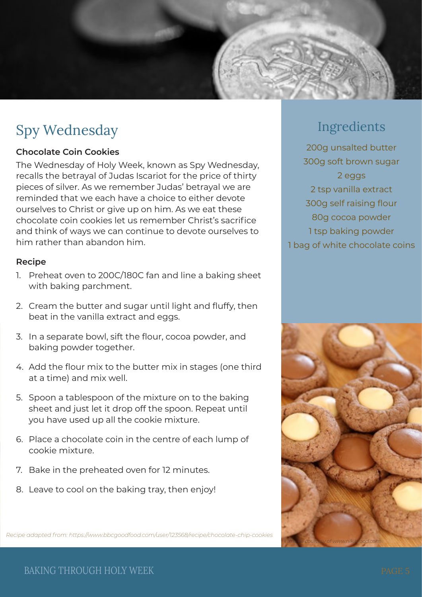

# Spy Wednesday

### **Chocolate Coin Cookies**

The Wednesday of Holy Week, known as Spy Wednesday, recalls the betrayal of Judas Iscariot for the price of thirty pieces of silver. As we remember Judas' betrayal we are reminded that we each have a choice to either devote ourselves to Christ or give up on him. As we eat these chocolate coin cookies let us remember Christ's sacrifice and think of ways we can continue to devote ourselves to him rather than abandon him.

#### **Recipe**

- 1. Preheat oven to 200C/180C fan and line a baking sheet with baking parchment.
- 2. Cream the butter and sugar until light and fluffy, then beat in the vanilla extract and eggs.
- 3. In a separate bowl, sift the flour, cocoa powder, and baking powder together.
- 4. Add the flour mix to the butter mix in stages (one third at a time) and mix well.
- 5. Spoon a tablespoon of the mixture on to the baking sheet and just let it drop off the spoon. Repeat until you have used up all the cookie mixture.
- 6. Place a chocolate coin in the centre of each lump of cookie mixture.
- 7. Bake in the preheated oven for 12 minutes.
- 8. Leave to cool on the baking tray, then enjoy!

*Recipe adapted from: https://www.bbcgoodfood.com/user/123568/recipe/chocolate-chip-cookies*

## Ingredients

200g unsalted butter 300g soft brown sugar 2 eggs 2 tsp vanilla extract 300g self raising flour 80g cocoa powder 1 tsp baking powder 1 bag of white chocolate coins



BAKING THROUGH HOLY WEEK PAGE 5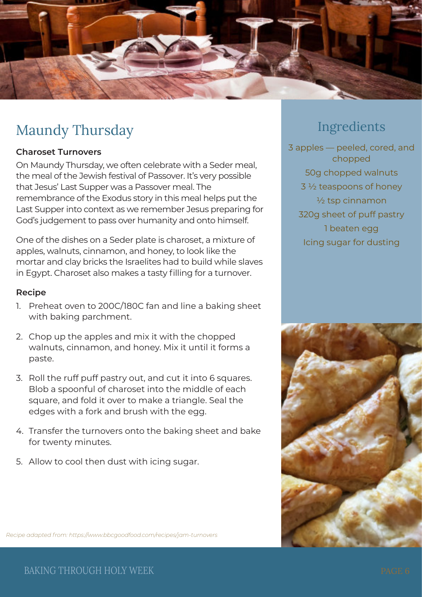

# Maundy Thursday

### **Charoset Turnovers**

On Maundy Thursday, we often celebrate with a Seder meal, the meal of the Jewish festival of Passover. It's very possible that Jesus' Last Supper was a Passover meal. The remembrance of the Exodus story in this meal helps put the Last Supper into context as we remember Jesus preparing for God's judgement to pass over humanity and onto himself.

One of the dishes on a Seder plate is charoset, a mixture of apples, walnuts, cinnamon, and honey, to look like the mortar and clay bricks the Israelites had to build while slaves in Egypt. Charoset also makes a tasty filling for a turnover.

#### **Recipe**

- 1. Preheat oven to 200C/180C fan and line a baking sheet with baking parchment.
- 2. Chop up the apples and mix it with the chopped walnuts, cinnamon, and honey. Mix it until it forms a paste.
- 3. Roll the ruff puff pastry out, and cut it into 6 squares. Blob a spoonful of charoset into the middle of each square, and fold it over to make a triangle. Seal the edges with a fork and brush with the egg.
- 4. Transfer the turnovers onto the baking sheet and bake for twenty minutes.
- 5. Allow to cool then dust with icing sugar.

### Ingredients

3 apples — peeled, cored, and chopped 50g chopped walnuts 3 ½ teaspoons of honey  $\frac{1}{2}$  tsp cinnamon 320g sheet of puff pastry 1 beaten egg Icing sugar for dusting



*Recipe adapted from: https://www.bbcgoodfood.com/recipes/jam-turnovers*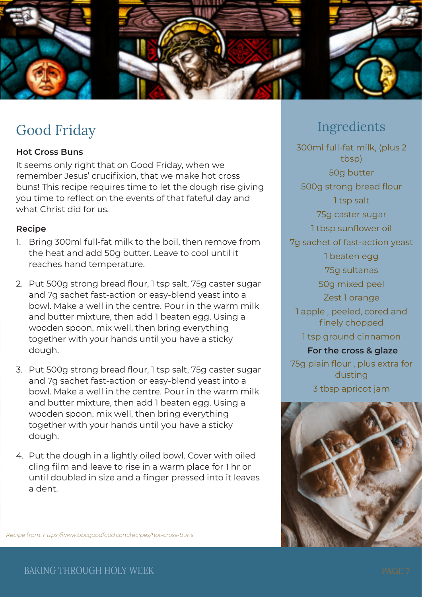

# Good Friday

### **Hot Cross Buns**

It seems only right that on Good Friday, when we remember Jesus' crucifixion, that we make hot cross buns! This recipe requires time to let the dough rise giving you time to reflect on the events of that fateful day and what Christ did for us.

#### **Recipe**

- 1. Bring 300ml full-fat milk to the boil, then remove from the heat and add 50g butter. Leave to cool until it reaches hand temperature.
- 2. Put 500g strong bread flour, 1 tsp salt, 75g caster sugar and 7g sachet fast-action or easy-blend yeast into a bowl. Make a well in the centre. Pour in the warm milk and butter mixture, then add 1 beaten egg. Using a wooden spoon, mix well, then bring everything together with your hands until you have a sticky dough.
- 3. Put 500g strong bread flour, 1 tsp salt, 75g caster sugar and 7g sachet fast-action or easy-blend yeast into a bowl. Make a well in the centre. Pour in the warm milk and butter mixture, then add 1 beaten egg. Using a wooden spoon, mix well, then bring everything together with your hands until you have a sticky dough.
- 4. Put the dough in a lightly oiled bowl. Cover with oiled cling film and leave to rise in a warm place for 1 hr or until doubled in size and a finger pressed into it leaves a dent.

### Ingredients

300ml full-fat milk, (plus 2 tbsp) 50g butter 500g strong bread flour 1 tsp salt 75g caster sugar 1 tbsp sunflower oil 7g sachet of fast-action yeast 1 beaten egg 75g sultanas 50g mixed peel Zest 1 orange 1 apple , peeled, cored and finely chopped 1 tsp ground cinnamon **For the cross & glaze** 75g plain flour , plus extra for dusting 3 tbsp apricot jam



*Recipe from: https://www.bbcgoodfood.com/recipes/hot-cross-buns*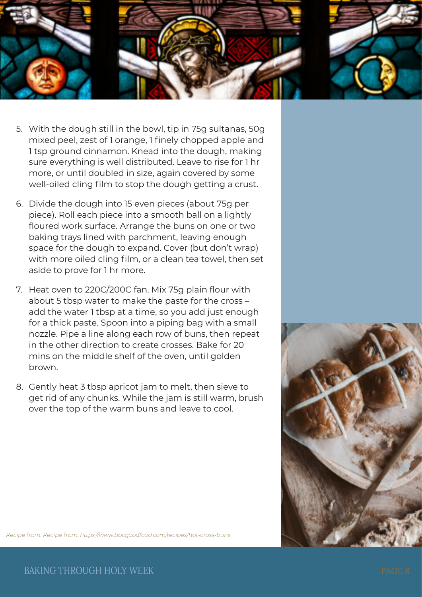

- 5. With the dough still in the bowl, tip in 75g sultanas, 50g mixed peel, zest of 1 orange, 1 finely chopped apple and 1 tsp ground cinnamon. Knead into the dough, making sure everything is well distributed. Leave to rise for 1 hr more, or until doubled in size, again covered by some well-oiled cling film to stop the dough getting a crust.
- 6. Divide the dough into 15 even pieces (about 75g per piece). Roll each piece into a smooth ball on a lightly floured work surface. Arrange the buns on one or two baking trays lined with parchment, leaving enough space for the dough to expand. Cover (but don't wrap) with more oiled cling film, or a clean tea towel, then set aside to prove for 1 hr more.
- 7. Heat oven to 220C/200C fan. Mix 75g plain flour with about 5 tbsp water to make the paste for the cross – add the water 1 tbsp at a time, so you add just enough for a thick paste. Spoon into a piping bag with a small nozzle. Pipe a line along each row of buns, then repeat in the other direction to create crosses. Bake for 20 mins on the middle shelf of the oven, until golden brown.
- 8. Gently heat 3 tbsp apricot jam to melt, then sieve to get rid of any chunks. While the jam is still warm, brush over the top of the warm buns and leave to cool.



*Recipe from: Recipe from: https://www.bbcgoodfood.com/recipes/hot-cross-buns*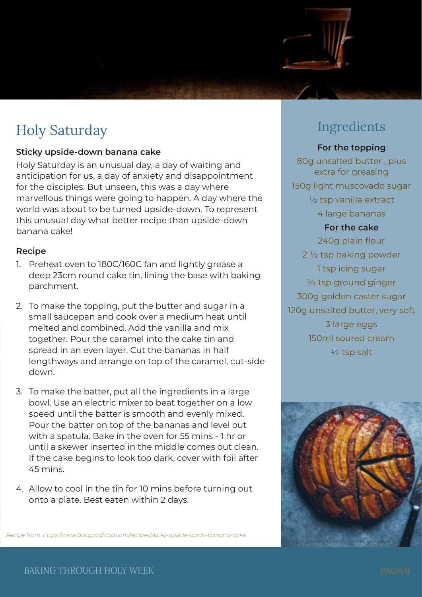

# Holy Saturday

### **Sticky upside-down banana cake**

Holy Saturday is an unusual day, a day of waiting and anticipation for us, a day of anxiety and disappointment for the disciples. But unseen, this was a day where marvellous things were going to happen. A day where the world was about to be turned upside-down. To represent this unusual day what better recipe than upside-down banana cake!

### **Recipe**

- 1. Preheat oven to 180C/160C fan and lightly grease a deep 23cm round cake tin, lining the base with baking parchment.
- 2. To make the topping, put the butter and sugar in a small saucepan and cook over a medium heat until melted and combined. Add the vanilla and mix together. Pour the caramel into the cake tin and spread in an even layer. Cut the bananas in half lengthways and arrange on top of the caramel, cut-side down.
- 3. To make the batter, put all the ingredients in a large bowl. Use an electric mixer to beat together on a low speed until the batter is smooth and evenly mixed. Pour the batter on top of the bananas and level out with a spatula. Bake in the oven for 55 mins - 1 hr or until a skewer inserted in the middle comes out clean. If the cake begins to look too dark, cover with foil after 45 mins.
- 4. Allow to cool in the tin for 10 mins before turning out onto a plate. Best eaten within 2 days.

*Recipe from: https://www.bbcgoodfood.com/recipes/sticky-upside-down-banana-cake*

# Ingredients

### **For the topping** 80g unsalted butter , plus extra for greasing 150g light muscovado sugar ½ tsp vanilla extract 4 large bananas **For the cake** 240g plain flour 2 ½ tsp baking powder 1 tsp icing sugar ½ tsp ground ginger 300g golden caster sugar 120g unsalted butter, very soft 3 large eggs 150ml soured cream ¼ tsp salt